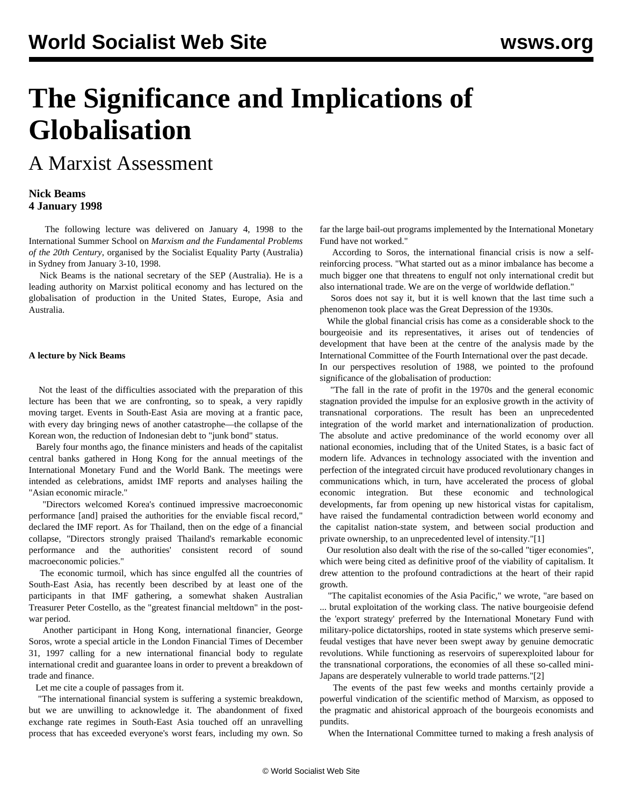# <span id="page-0-0"></span>**The Significance and Implications of Globalisation**

## A Marxist Assessment

#### **Nick Beams 4 January 1998**

 The following lecture was delivered on January 4, 1998 to the International Summer School on *Marxism and the Fundamental Problems of the 20th Century*, organised by the Socialist Equality Party (Australia) in Sydney from January 3-10, 1998.

 Nick Beams is the national secretary of the SEP (Australia). He is a leading authority on Marxist political economy and has lectured on the globalisation of production in the United States, Europe, Asia and Australia.

#### **A lecture by Nick Beams**

 Not the least of the difficulties associated with the preparation of this lecture has been that we are confronting, so to speak, a very rapidly moving target. Events in South-East Asia are moving at a frantic pace, with every day bringing news of another catastrophe—the collapse of the Korean won, the reduction of Indonesian debt to "junk bond" status.

 Barely four months ago, the finance ministers and heads of the capitalist central banks gathered in Hong Kong for the annual meetings of the International Monetary Fund and the World Bank. The meetings were intended as celebrations, amidst IMF reports and analyses hailing the "Asian economic miracle."

 "Directors welcomed Korea's continued impressive macroeconomic performance [and] praised the authorities for the enviable fiscal record," declared the IMF report. As for Thailand, then on the edge of a financial collapse, "Directors strongly praised Thailand's remarkable economic performance and the authorities' consistent record of sound macroeconomic policies."

 The economic turmoil, which has since engulfed all the countries of South-East Asia, has recently been described by at least one of the participants in that IMF gathering, a somewhat shaken Australian Treasurer Peter Costello, as the "greatest financial meltdown" in the postwar period.

 Another participant in Hong Kong, international financier, George Soros, wrote a special article in the London Financial Times of December 31, 1997 calling for a new international financial body to regulate international credit and guarantee loans in order to prevent a breakdown of trade and finance.

Let me cite a couple of passages from it.

 "The international financial system is suffering a systemic breakdown, but we are unwilling to acknowledge it. The abandonment of fixed exchange rate regimes in South-East Asia touched off an unravelling process that has exceeded everyone's worst fears, including my own. So

far the large bail-out programs implemented by the International Monetary Fund have not worked."

 According to Soros, the international financial crisis is now a selfreinforcing process. "What started out as a minor imbalance has become a much bigger one that threatens to engulf not only international credit but also international trade. We are on the verge of worldwide deflation."

 Soros does not say it, but it is well known that the last time such a phenomenon took place was the Great Depression of the 1930s.

 While the global financial crisis has come as a considerable shock to the bourgeoisie and its representatives, it arises out of tendencies of development that have been at the centre of the analysis made by the International Committee of the Fourth International over the past decade. In our perspectives resolution of 1988, we pointed to the profound

significance of the globalisation of production:

 "The fall in the rate of profit in the 1970s and the general economic stagnation provided the impulse for an explosive growth in the activity of transnational corporations. The result has been an unprecedented integration of the world market and internationalization of production. The absolute and active predominance of the world economy over all national economies, including that of the United States, is a basic fact of modern life. Advances in technology associated with the invention and perfection of the integrated circuit have produced revolutionary changes in communications which, in turn, have accelerated the process of global economic integration. But these economic and technological developments, far from opening up new historical vistas for capitalism, have raised the fundamental contradiction between world economy and the capitalist nation-state system, and between social production and private ownership, to an unprecedented level of intensity."[[1](#page-0-0)]

 Our resolution also dealt with the rise of the so-called "tiger economies", which were being cited as definitive proof of the viability of capitalism. It drew attention to the profound contradictions at the heart of their rapid growth.

 "The capitalist economies of the Asia Pacific," we wrote, "are based on ... brutal exploitation of the working class. The native bourgeoisie defend the 'export strategy' preferred by the International Monetary Fund with military-police dictatorships, rooted in state systems which preserve semifeudal vestiges that have never been swept away by genuine democratic revolutions. While functioning as reservoirs of superexploited labour for the transnational corporations, the economies of all these so-called mini-Japans are desperately vulnerable to world trade patterns."[\[2\]](#page-1-0)

 The events of the past few weeks and months certainly provide a powerful vindication of the scientific method of Marxism, as opposed to the pragmatic and ahistorical approach of the bourgeois economists and pundits.

When the International Committee turned to making a fresh analysis of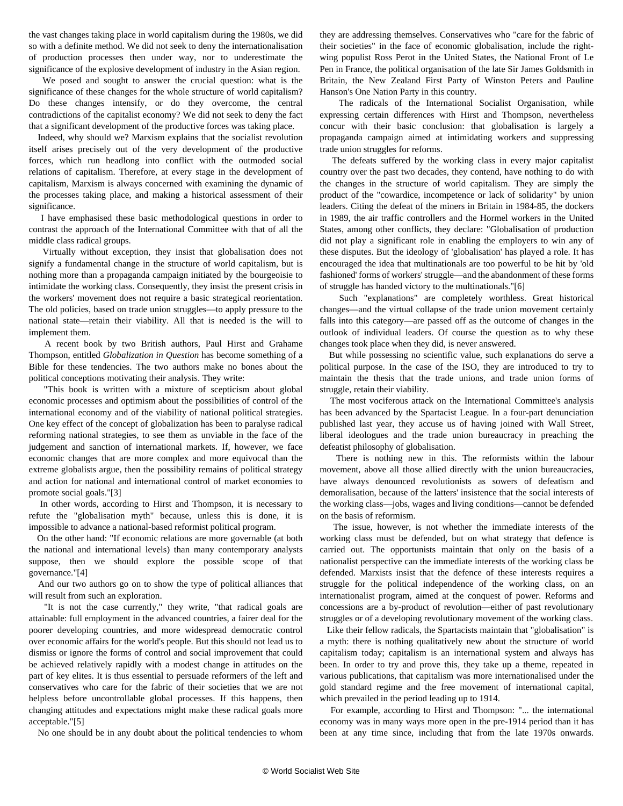<span id="page-1-0"></span>the vast changes taking place in world capitalism during the 1980s, we did so with a definite method. We did not seek to deny the internationalisation of production processes then under way, nor to underestimate the significance of the explosive development of industry in the Asian region.

 We posed and sought to answer the crucial question: what is the significance of these changes for the whole structure of world capitalism? Do these changes intensify, or do they overcome, the central contradictions of the capitalist economy? We did not seek to deny the fact that a significant development of the productive forces was taking place.

 Indeed, why should we? Marxism explains that the socialist revolution itself arises precisely out of the very development of the productive forces, which run headlong into conflict with the outmoded social relations of capitalism. Therefore, at every stage in the development of capitalism, Marxism is always concerned with examining the dynamic of the processes taking place, and making a historical assessment of their significance.

 I have emphasised these basic methodological questions in order to contrast the approach of the International Committee with that of all the middle class radical groups.

 Virtually without exception, they insist that globalisation does not signify a fundamental change in the structure of world capitalism, but is nothing more than a propaganda campaign initiated by the bourgeoisie to intimidate the working class. Consequently, they insist the present crisis in the workers' movement does not require a basic strategical reorientation. The old policies, based on trade union struggles—to apply pressure to the national state—retain their viability. All that is needed is the will to implement them.

 A recent book by two British authors, Paul Hirst and Grahame Thompson, entitled *Globalization in Question* has become something of a Bible for these tendencies. The two authors make no bones about the political conceptions motivating their analysis. They write:

 "This book is written with a mixture of scepticism about global economic processes and optimism about the possibilities of control of the international economy and of the viability of national political strategies. One key effect of the concept of globalization has been to paralyse radical reforming national strategies, to see them as unviable in the face of the judgement and sanction of international markets. If, however, we face economic changes that are more complex and more equivocal than the extreme globalists argue, then the possibility remains of political strategy and action for national and international control of market economies to promote social goals."[[3](#page-2-0)]

 In other words, according to Hirst and Thompson, it is necessary to refute the "globalisation myth" because, unless this is done, it is impossible to advance a national-based reformist political program.

 On the other hand: "If economic relations are more governable (at both the national and international levels) than many contemporary analysts suppose, then we should explore the possible scope of that governance."[[4](#page-3-0)]

 And our two authors go on to show the type of political alliances that will result from such an exploration.

 "It is not the case currently," they write, "that radical goals are attainable: full employment in the advanced countries, a fairer deal for the poorer developing countries, and more widespread democratic control over economic affairs for the world's people. But this should not lead us to dismiss or ignore the forms of control and social improvement that could be achieved relatively rapidly with a modest change in attitudes on the part of key elites. It is thus essential to persuade reformers of the left and conservatives who care for the fabric of their societies that we are not helpless before uncontrollable global processes. If this happens, then changing attitudes and expectations might make these radical goals more acceptable."[\[5\]](#page-4-0)

No one should be in any doubt about the political tendencies to whom

they are addressing themselves. Conservatives who "care for the fabric of their societies" in the face of economic globalisation, include the rightwing populist Ross Perot in the United States, the National Front of Le Pen in France, the political organisation of the late Sir James Goldsmith in Britain, the New Zealand First Party of Winston Peters and Pauline Hanson's One Nation Party in this country.

 The radicals of the International Socialist Organisation, while expressing certain differences with Hirst and Thompson, nevertheless concur with their basic conclusion: that globalisation is largely a propaganda campaign aimed at intimidating workers and suppressing trade union struggles for reforms.

 The defeats suffered by the working class in every major capitalist country over the past two decades, they contend, have nothing to do with the changes in the structure of world capitalism. They are simply the product of the "cowardice, incompetence or lack of solidarity" by union leaders. Citing the defeat of the miners in Britain in 1984-85, the dockers in 1989, the air traffic controllers and the Hormel workers in the United States, among other conflicts, they declare: "Globalisation of production did not play a significant role in enabling the employers to win any of these disputes. But the ideology of 'globalisation' has played a role. It has encouraged the idea that multinationals are too powerful to be hit by 'old fashioned' forms of workers' struggle—and the abandonment of these forms of struggle has handed victory to the multinationals."[[6](#page-5-0)]

 Such "explanations" are completely worthless. Great historical changes—and the virtual collapse of the trade union movement certainly falls into this category—are passed off as the outcome of changes in the outlook of individual leaders. Of course the question as to why these changes took place when they did, is never answered.

 But while possessing no scientific value, such explanations do serve a political purpose. In the case of the ISO, they are introduced to try to maintain the thesis that the trade unions, and trade union forms of struggle, retain their viability.

 The most vociferous attack on the International Committee's analysis has been advanced by the Spartacist League. In a four-part denunciation published last year, they accuse us of having joined with Wall Street, liberal ideologues and the trade union bureaucracy in preaching the defeatist philosophy of globalisation.

 There is nothing new in this. The reformists within the labour movement, above all those allied directly with the union bureaucracies, have always denounced revolutionists as sowers of defeatism and demoralisation, because of the latters' insistence that the social interests of the working class—jobs, wages and living conditions—cannot be defended on the basis of reformism.

 The issue, however, is not whether the immediate interests of the working class must be defended, but on what strategy that defence is carried out. The opportunists maintain that only on the basis of a nationalist perspective can the immediate interests of the working class be defended. Marxists insist that the defence of these interests requires a struggle for the political independence of the working class, on an internationalist program, aimed at the conquest of power. Reforms and concessions are a by-product of revolution—either of past revolutionary struggles or of a developing revolutionary movement of the working class.

 Like their fellow radicals, the Spartacists maintain that "globalisation" is a myth: there is nothing qualitatively new about the structure of world capitalism today; capitalism is an international system and always has been. In order to try and prove this, they take up a theme, repeated in various publications, that capitalism was more internationalised under the gold standard regime and the free movement of international capital, which prevailed in the period leading up to 1914.

 For example, according to Hirst and Thompson: "... the international economy was in many ways more open in the pre-1914 period than it has been at any time since, including that from the late 1970s onwards.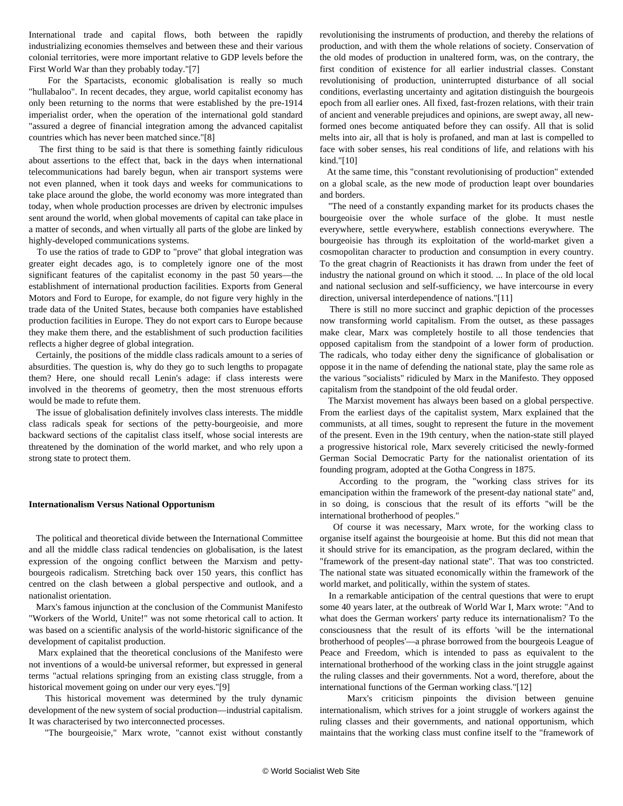<span id="page-2-0"></span>International trade and capital flows, both between the rapidly industrializing economies themselves and between these and their various colonial territories, were more important relative to GDP levels before the First World War than they probably today."[[7](#page-6-0)]

 For the Spartacists, economic globalisation is really so much "hullabaloo". In recent decades, they argue, world capitalist economy has only been returning to the norms that were established by the pre-1914 imperialist order, when the operation of the international gold standard "assured a degree of financial integration among the advanced capitalist countries which has never been matched since."[[8](#page-7-0)]

 The first thing to be said is that there is something faintly ridiculous about assertions to the effect that, back in the days when international telecommunications had barely begun, when air transport systems were not even planned, when it took days and weeks for communications to take place around the globe, the world economy was more integrated than today, when whole production processes are driven by electronic impulses sent around the world, when global movements of capital can take place in a matter of seconds, and when virtually all parts of the globe are linked by highly-developed communications systems.

 To use the ratios of trade to GDP to "prove" that global integration was greater eight decades ago, is to completely ignore one of the most significant features of the capitalist economy in the past 50 years—the establishment of international production facilities. Exports from General Motors and Ford to Europe, for example, do not figure very highly in the trade data of the United States, because both companies have established production facilities in Europe. They do not export cars to Europe because they make them there, and the establishment of such production facilities reflects a higher degree of global integration.

 Certainly, the positions of the middle class radicals amount to a series of absurdities. The question is, why do they go to such lengths to propagate them? Here, one should recall Lenin's adage: if class interests were involved in the theorems of geometry, then the most strenuous efforts would be made to refute them.

 The issue of globalisation definitely involves class interests. The middle class radicals speak for sections of the petty-bourgeoisie, and more backward sections of the capitalist class itself, whose social interests are threatened by the domination of the world market, and who rely upon a strong state to protect them.

#### **Internationalism Versus National Opportunism**

 The political and theoretical divide between the International Committee and all the middle class radical tendencies on globalisation, is the latest expression of the ongoing conflict between the Marxism and pettybourgeois radicalism. Stretching back over 150 years, this conflict has centred on the clash between a global perspective and outlook, and a nationalist orientation.

 Marx's famous injunction at the conclusion of the Communist Manifesto "Workers of the World, Unite!" was not some rhetorical call to action. It was based on a scientific analysis of the world-historic significance of the development of capitalist production.

 Marx explained that the theoretical conclusions of the Manifesto were not inventions of a would-be universal reformer, but expressed in general terms "actual relations springing from an existing class struggle, from a historical movement going on under our very eyes."[\[9\]](#page-8-0)

 This historical movement was determined by the truly dynamic development of the new system of social production—industrial capitalism. It was characterised by two interconnected processes.

"The bourgeoisie," Marx wrote, "cannot exist without constantly

revolutionising the instruments of production, and thereby the relations of production, and with them the whole relations of society. Conservation of the old modes of production in unaltered form, was, on the contrary, the first condition of existence for all earlier industrial classes. Constant revolutionising of production, uninterrupted disturbance of all social conditions, everlasting uncertainty and agitation distinguish the bourgeois epoch from all earlier ones. All fixed, fast-frozen relations, with their train of ancient and venerable prejudices and opinions, are swept away, all newformed ones become antiquated before they can ossify. All that is solid melts into air, all that is holy is profaned, and man at last is compelled to face with sober senses, his real conditions of life, and relations with his kind."[\[10](#page-9-0)]

 At the same time, this "constant revolutionising of production" extended on a global scale, as the new mode of production leapt over boundaries and borders.

 "The need of a constantly expanding market for its products chases the bourgeoisie over the whole surface of the globe. It must nestle everywhere, settle everywhere, establish connections everywhere. The bourgeoisie has through its exploitation of the world-market given a cosmopolitan character to production and consumption in every country. To the great chagrin of Reactionists it has drawn from under the feet of industry the national ground on which it stood. ... In place of the old local and national seclusion and self-sufficiency, we have intercourse in every direction, universal interdependence of nations."[[11\]](#page-10-0)

 There is still no more succinct and graphic depiction of the processes now transforming world capitalism. From the outset, as these passages make clear, Marx was completely hostile to all those tendencies that opposed capitalism from the standpoint of a lower form of production. The radicals, who today either deny the significance of globalisation or oppose it in the name of defending the national state, play the same role as the various "socialists" ridiculed by Marx in the Manifesto. They opposed capitalism from the standpoint of the old feudal order.

 The Marxist movement has always been based on a global perspective. From the earliest days of the capitalist system, Marx explained that the communists, at all times, sought to represent the future in the movement of the present. Even in the 19th century, when the nation-state still played a progressive historical role, Marx severely criticised the newly-formed German Social Democratic Party for the nationalist orientation of its founding program, adopted at the Gotha Congress in 1875.

 According to the program, the "working class strives for its emancipation within the framework of the present-day national state" and, in so doing, is conscious that the result of its efforts "will be the international brotherhood of peoples."

 Of course it was necessary, Marx wrote, for the working class to organise itself against the bourgeoisie at home. But this did not mean that it should strive for its emancipation, as the program declared, within the "framework of the present-day national state". That was too constricted. The national state was situated economically within the framework of the world market, and politically, within the system of states.

 In a remarkable anticipation of the central questions that were to erupt some 40 years later, at the outbreak of World War I, Marx wrote: "And to what does the German workers' party reduce its internationalism? To the consciousness that the result of its efforts 'will be the international brotherhood of peoples'—a phrase borrowed from the bourgeois League of Peace and Freedom, which is intended to pass as equivalent to the international brotherhood of the working class in the joint struggle against the ruling classes and their governments. Not a word, therefore, about the international functions of the German working class."[[12\]](#page-11-0)

 Marx's criticism pinpoints the division between genuine internationalism, which strives for a joint struggle of workers against the ruling classes and their governments, and national opportunism, which maintains that the working class must confine itself to the "framework of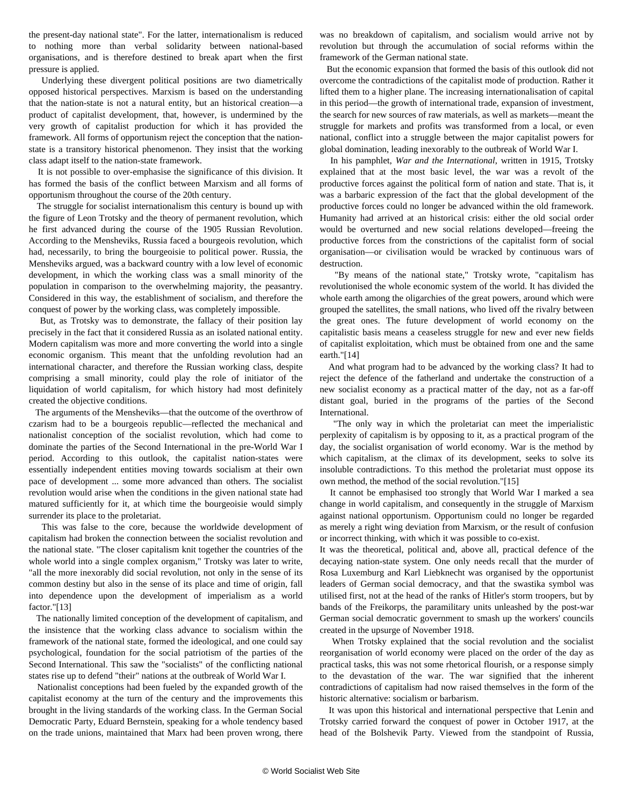<span id="page-3-0"></span>the present-day national state". For the latter, internationalism is reduced to nothing more than verbal solidarity between national-based organisations, and is therefore destined to break apart when the first pressure is applied.

 Underlying these divergent political positions are two diametrically opposed historical perspectives. Marxism is based on the understanding that the nation-state is not a natural entity, but an historical creation—a product of capitalist development, that, however, is undermined by the very growth of capitalist production for which it has provided the framework. All forms of opportunism reject the conception that the nationstate is a transitory historical phenomenon. They insist that the working class adapt itself to the nation-state framework.

 It is not possible to over-emphasise the significance of this division. It has formed the basis of the conflict between Marxism and all forms of opportunism throughout the course of the 20th century.

 The struggle for socialist internationalism this century is bound up with the figure of Leon Trotsky and the theory of permanent revolution, which he first advanced during the course of the 1905 Russian Revolution. According to the Mensheviks, Russia faced a bourgeois revolution, which had, necessarily, to bring the bourgeoisie to political power. Russia, the Mensheviks argued, was a backward country with a low level of economic development, in which the working class was a small minority of the population in comparison to the overwhelming majority, the peasantry. Considered in this way, the establishment of socialism, and therefore the conquest of power by the working class, was completely impossible.

 But, as Trotsky was to demonstrate, the fallacy of their position lay precisely in the fact that it considered Russia as an isolated national entity. Modern capitalism was more and more converting the world into a single economic organism. This meant that the unfolding revolution had an international character, and therefore the Russian working class, despite comprising a small minority, could play the role of initiator of the liquidation of world capitalism, for which history had most definitely created the objective conditions.

 The arguments of the Mensheviks—that the outcome of the overthrow of czarism had to be a bourgeois republic—reflected the mechanical and nationalist conception of the socialist revolution, which had come to dominate the parties of the Second International in the pre-World War I period. According to this outlook, the capitalist nation-states were essentially independent entities moving towards socialism at their own pace of development ... some more advanced than others. The socialist revolution would arise when the conditions in the given national state had matured sufficiently for it, at which time the bourgeoisie would simply surrender its place to the proletariat.

 This was false to the core, because the worldwide development of capitalism had broken the connection between the socialist revolution and the national state. "The closer capitalism knit together the countries of the whole world into a single complex organism," Trotsky was later to write, "all the more inexorably did social revolution, not only in the sense of its common destiny but also in the sense of its place and time of origin, fall into dependence upon the development of imperialism as a world factor."[\[13](#page-12-0)]

 The nationally limited conception of the development of capitalism, and the insistence that the working class advance to socialism within the framework of the national state, formed the ideological, and one could say psychological, foundation for the social patriotism of the parties of the Second International. This saw the "socialists" of the conflicting national states rise up to defend "their" nations at the outbreak of World War I.

 Nationalist conceptions had been fueled by the expanded growth of the capitalist economy at the turn of the century and the improvements this brought in the living standards of the working class. In the German Social Democratic Party, Eduard Bernstein, speaking for a whole tendency based on the trade unions, maintained that Marx had been proven wrong, there was no breakdown of capitalism, and socialism would arrive not by revolution but through the accumulation of social reforms within the framework of the German national state.

 But the economic expansion that formed the basis of this outlook did not overcome the contradictions of the capitalist mode of production. Rather it lifted them to a higher plane. The increasing internationalisation of capital in this period—the growth of international trade, expansion of investment, the search for new sources of raw materials, as well as markets—meant the struggle for markets and profits was transformed from a local, or even national, conflict into a struggle between the major capitalist powers for global domination, leading inexorably to the outbreak of World War I.

 In his pamphlet, *War and the International*, written in 1915, Trotsky explained that at the most basic level, the war was a revolt of the productive forces against the political form of nation and state. That is, it was a barbaric expression of the fact that the global development of the productive forces could no longer be advanced within the old framework. Humanity had arrived at an historical crisis: either the old social order would be overturned and new social relations developed—freeing the productive forces from the constrictions of the capitalist form of social organisation—or civilisation would be wracked by continuous wars of destruction.

 "By means of the national state," Trotsky wrote, "capitalism has revolutionised the whole economic system of the world. It has divided the whole earth among the oligarchies of the great powers, around which were grouped the satellites, the small nations, who lived off the rivalry between the great ones. The future development of world economy on the capitalistic basis means a ceaseless struggle for new and ever new fields of capitalist exploitation, which must be obtained from one and the same earth."[\[14](#page-13-0)]

 And what program had to be advanced by the working class? It had to reject the defence of the fatherland and undertake the construction of a new socialist economy as a practical matter of the day, not as a far-off distant goal, buried in the programs of the parties of the Second International.

 "The only way in which the proletariat can meet the imperialistic perplexity of capitalism is by opposing to it, as a practical program of the day, the socialist organisation of world economy. War is the method by which capitalism, at the climax of its development, seeks to solve its insoluble contradictions. To this method the proletariat must oppose its own method, the method of the social revolution."[\[15](#page-14-0)]

 It cannot be emphasised too strongly that World War I marked a sea change in world capitalism, and consequently in the struggle of Marxism against national opportunism. Opportunism could no longer be regarded as merely a right wing deviation from Marxism, or the result of confusion or incorrect thinking, with which it was possible to co-exist.

It was the theoretical, political and, above all, practical defence of the decaying nation-state system. One only needs recall that the murder of Rosa Luxemburg and Karl Liebknecht was organised by the opportunist leaders of German social democracy, and that the swastika symbol was utilised first, not at the head of the ranks of Hitler's storm troopers, but by bands of the Freikorps, the paramilitary units unleashed by the post-war German social democratic government to smash up the workers' councils created in the upsurge of November 1918.

 When Trotsky explained that the social revolution and the socialist reorganisation of world economy were placed on the order of the day as practical tasks, this was not some rhetorical flourish, or a response simply to the devastation of the war. The war signified that the inherent contradictions of capitalism had now raised themselves in the form of the historic alternative: socialism or barbarism.

 It was upon this historical and international perspective that Lenin and Trotsky carried forward the conquest of power in October 1917, at the head of the Bolshevik Party. Viewed from the standpoint of Russia,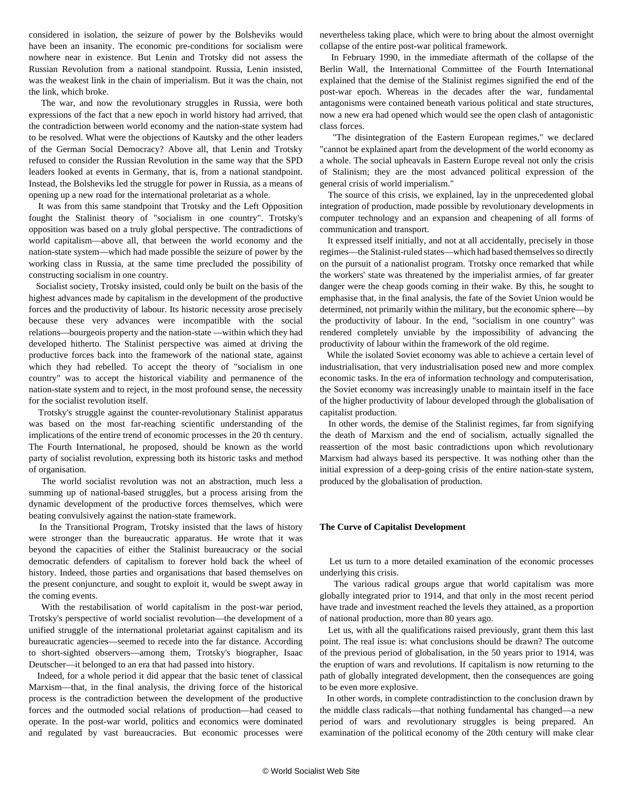<span id="page-4-0"></span>considered in isolation, the seizure of power by the Bolsheviks would have been an insanity. The economic pre-conditions for socialism were nowhere near in existence. But Lenin and Trotsky did not assess the Russian Revolution from a national standpoint. Russia, Lenin insisted, was the weakest link in the chain of imperialism. But it was the chain, not the link, which broke.

 The war, and now the revolutionary struggles in Russia, were both expressions of the fact that a new epoch in world history had arrived, that the contradiction between world economy and the nation-state system had to be resolved. What were the objections of Kautsky and the other leaders of the German Social Democracy? Above all, that Lenin and Trotsky refused to consider the Russian Revolution in the same way that the SPD leaders looked at events in Germany, that is, from a national standpoint. Instead, the Bolsheviks led the struggle for power in Russia, as a means of opening up a new road for the international proletariat as a whole.

 It was from this same standpoint that Trotsky and the Left Opposition fought the Stalinist theory of "socialism in one country". Trotsky's opposition was based on a truly global perspective. The contradictions of world capitalism—above all, that between the world economy and the nation-state system—which had made possible the seizure of power by the working class in Russia, at the same time precluded the possibility of constructing socialism in one country.

 Socialist society, Trotsky insisted, could only be built on the basis of the highest advances made by capitalism in the development of the productive forces and the productivity of labour. Its historic necessity arose precisely because these very advances were incompatible with the social relations—bourgeois property and the nation-state —within which they had developed hitherto. The Stalinist perspective was aimed at driving the productive forces back into the framework of the national state, against which they had rebelled. To accept the theory of "socialism in one country" was to accept the historical viability and permanence of the nation-state system and to reject, in the most profound sense, the necessity for the socialist revolution itself.

 Trotsky's struggle against the counter-revolutionary Stalinist apparatus was based on the most far-reaching scientific understanding of the implications of the entire trend of economic processes in the 20 th century. The Fourth International, he proposed, should be known as the world party of socialist revolution, expressing both its historic tasks and method of organisation.

 The world socialist revolution was not an abstraction, much less a summing up of national-based struggles, but a process arising from the dynamic development of the productive forces themselves, which were beating convulsively against the nation-state framework.

 In the Transitional Program, Trotsky insisted that the laws of history were stronger than the bureaucratic apparatus. He wrote that it was beyond the capacities of either the Stalinist bureaucracy or the social democratic defenders of capitalism to forever hold back the wheel of history. Indeed, those parties and organisations that based themselves on the present conjuncture, and sought to exploit it, would be swept away in the coming events.

 With the restabilisation of world capitalism in the post-war period, Trotsky's perspective of world socialist revolution—the development of a unified struggle of the international proletariat against capitalism and its bureaucratic agencies—seemed to recede into the far distance. According to short-sighted observers—among them, Trotsky's biographer, Isaac Deutscher—it belonged to an era that had passed into history.

 Indeed, for a whole period it did appear that the basic tenet of classical Marxism—that, in the final analysis, the driving force of the historical process is the contradiction between the development of the productive forces and the outmoded social relations of production—had ceased to operate. In the post-war world, politics and economics were dominated and regulated by vast bureaucracies. But economic processes were nevertheless taking place, which were to bring about the almost overnight collapse of the entire post-war political framework.

 In February 1990, in the immediate aftermath of the collapse of the Berlin Wall, the International Committee of the Fourth International explained that the demise of the Stalinist regimes signified the end of the post-war epoch. Whereas in the decades after the war, fundamental antagonisms were contained beneath various political and state structures, now a new era had opened which would see the open clash of antagonistic class forces.

 "The disintegration of the Eastern European regimes," we declared "cannot be explained apart from the development of the world economy as a whole. The social upheavals in Eastern Europe reveal not only the crisis of Stalinism; they are the most advanced political expression of the general crisis of world imperialism."

 The source of this crisis, we explained, lay in the unprecedented global integration of production, made possible by revolutionary developments in computer technology and an expansion and cheapening of all forms of communication and transport.

 It expressed itself initially, and not at all accidentally, precisely in those regimes—the Stalinist-ruled states—which had based themselves so directly on the pursuit of a nationalist program. Trotsky once remarked that while the workers' state was threatened by the imperialist armies, of far greater danger were the cheap goods coming in their wake. By this, he sought to emphasise that, in the final analysis, the fate of the Soviet Union would be determined, not primarily within the military, but the economic sphere—by the productivity of labour. In the end, "socialism in one country" was rendered completely unviable by the impossibility of advancing the productivity of labour within the framework of the old regime.

 While the isolated Soviet economy was able to achieve a certain level of industrialisation, that very industrialisation posed new and more complex economic tasks. In the era of information technology and computerisation, the Soviet economy was increasingly unable to maintain itself in the face of the higher productivity of labour developed through the globalisation of capitalist production.

 In other words, the demise of the Stalinist regimes, far from signifying the death of Marxism and the end of socialism, actually signalled the reassertion of the most basic contradictions upon which revolutionary Marxism had always based its perspective. It was nothing other than the initial expression of a deep-going crisis of the entire nation-state system, produced by the globalisation of production.

#### **The Curve of Capitalist Development**

 Let us turn to a more detailed examination of the economic processes underlying this crisis.

 The various radical groups argue that world capitalism was more globally integrated prior to 1914, and that only in the most recent period have trade and investment reached the levels they attained, as a proportion of national production, more than 80 years ago.

 Let us, with all the qualifications raised previously, grant them this last point. The real issue is: what conclusions should be drawn? The outcome of the previous period of globalisation, in the 50 years prior to 1914, was the eruption of wars and revolutions. If capitalism is now returning to the path of globally integrated development, then the consequences are going to be even more explosive.

 In other words, in complete contradistinction to the conclusion drawn by the middle class radicals—that nothing fundamental has changed—a new period of wars and revolutionary struggles is being prepared. An examination of the political economy of the 20th century will make clear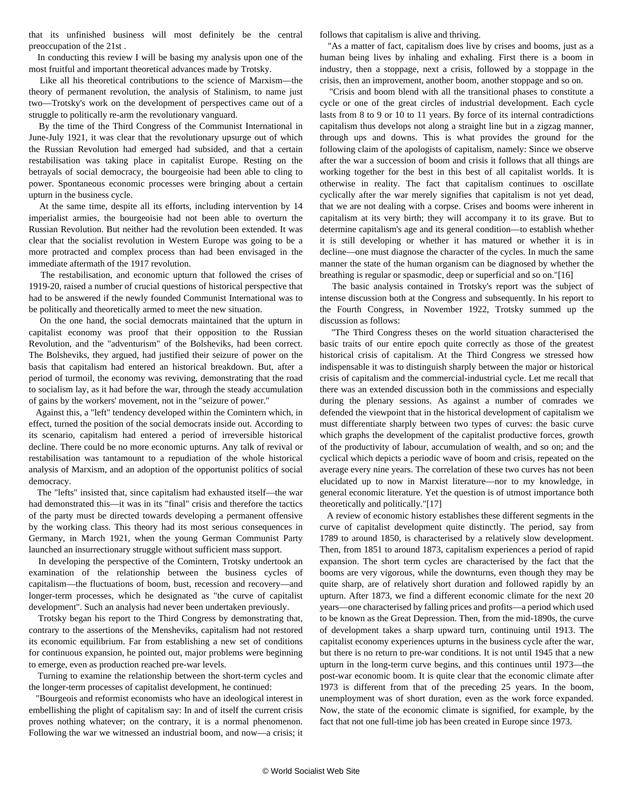<span id="page-5-0"></span>that its unfinished business will most definitely be the central preoccupation of the 21st .

 In conducting this review I will be basing my analysis upon one of the most fruitful and important theoretical advances made by Trotsky.

 Like all his theoretical contributions to the science of Marxism—the theory of permanent revolution, the analysis of Stalinism, to name just two—Trotsky's work on the development of perspectives came out of a struggle to politically re-arm the revolutionary vanguard.

 By the time of the Third Congress of the Communist International in June-July 1921, it was clear that the revolutionary upsurge out of which the Russian Revolution had emerged had subsided, and that a certain restabilisation was taking place in capitalist Europe. Resting on the betrayals of social democracy, the bourgeoisie had been able to cling to power. Spontaneous economic processes were bringing about a certain upturn in the business cycle.

 At the same time, despite all its efforts, including intervention by 14 imperialist armies, the bourgeoisie had not been able to overturn the Russian Revolution. But neither had the revolution been extended. It was clear that the socialist revolution in Western Europe was going to be a more protracted and complex process than had been envisaged in the immediate aftermath of the 1917 revolution.

 The restabilisation, and economic upturn that followed the crises of 1919-20, raised a number of crucial questions of historical perspective that had to be answered if the newly founded Communist International was to be politically and theoretically armed to meet the new situation.

 On the one hand, the social democrats maintained that the upturn in capitalist economy was proof that their opposition to the Russian Revolution, and the "adventurism" of the Bolsheviks, had been correct. The Bolsheviks, they argued, had justified their seizure of power on the basis that capitalism had entered an historical breakdown. But, after a period of turmoil, the economy was reviving, demonstrating that the road to socialism lay, as it had before the war, through the steady accumulation of gains by the workers' movement, not in the "seizure of power."

 Against this, a "left" tendency developed within the Comintern which, in effect, turned the position of the social democrats inside out. According to its scenario, capitalism had entered a period of irreversible historical decline. There could be no more economic upturns. Any talk of revival or restabilisation was tantamount to a repudiation of the whole historical analysis of Marxism, and an adoption of the opportunist politics of social democracy.

 The "lefts" insisted that, since capitalism had exhausted itself—the war had demonstrated this—it was in its "final" crisis and therefore the tactics of the party must be directed towards developing a permanent offensive by the working class. This theory had its most serious consequences in Germany, in March 1921, when the young German Communist Party launched an insurrectionary struggle without sufficient mass support.

 In developing the perspective of the Comintern, Trotsky undertook an examination of the relationship between the business cycles of capitalism—the fluctuations of boom, bust, recession and recovery—and longer-term processes, which he designated as "the curve of capitalist development". Such an analysis had never been undertaken previously.

 Trotsky began his report to the Third Congress by demonstrating that, contrary to the assertions of the Mensheviks, capitalism had not restored its economic equilibrium. Far from establishing a new set of conditions for continuous expansion, he pointed out, major problems were beginning to emerge, even as production reached pre-war levels.

 Turning to examine the relationship between the short-term cycles and the longer-term processes of capitalist development, he continued:

 "Bourgeois and reformist economists who have an ideological interest in embellishing the plight of capitalism say: In and of itself the current crisis proves nothing whatever; on the contrary, it is a normal phenomenon. Following the war we witnessed an industrial boom, and now—a crisis; it follows that capitalism is alive and thriving.

 "As a matter of fact, capitalism does live by crises and booms, just as a human being lives by inhaling and exhaling. First there is a boom in industry, then a stoppage, next a crisis, followed by a stoppage in the crisis, then an improvement, another boom, another stoppage and so on.

 "Crisis and boom blend with all the transitional phases to constitute a cycle or one of the great circles of industrial development. Each cycle lasts from 8 to 9 or 10 to 11 years. By force of its internal contradictions capitalism thus develops not along a straight line but in a zigzag manner, through ups and downs. This is what provides the ground for the following claim of the apologists of capitalism, namely: Since we observe after the war a succession of boom and crisis it follows that all things are working together for the best in this best of all capitalist worlds. It is otherwise in reality. The fact that capitalism continues to oscillate cyclically after the war merely signifies that capitalism is not yet dead, that we are not dealing with a corpse. Crises and booms were inherent in capitalism at its very birth; they will accompany it to its grave. But to determine capitalism's age and its general condition—to establish whether it is still developing or whether it has matured or whether it is in decline—one must diagnose the character of the cycles. In much the same manner the state of the human organism can be diagnosed by whether the breathing is regular or spasmodic, deep or superficial and so on."[16]

 The basic analysis contained in Trotsky's report was the subject of intense discussion both at the Congress and subsequently. In his report to the Fourth Congress, in November 1922, Trotsky summed up the discussion as follows:

 "The Third Congress theses on the world situation characterised the basic traits of our entire epoch quite correctly as those of the greatest historical crisis of capitalism. At the Third Congress we stressed how indispensable it was to distinguish sharply between the major or historical crisis of capitalism and the commercial-industrial cycle. Let me recall that there was an extended discussion both in the commissions and especially during the plenary sessions. As against a number of comrades we defended the viewpoint that in the historical development of capitalism we must differentiate sharply between two types of curves: the basic curve which graphs the development of the capitalist productive forces, growth of the productivity of labour, accumulation of wealth, and so on; and the cyclical which depicts a periodic wave of boom and crisis, repeated on the average every nine years. The correlation of these two curves has not been elucidated up to now in Marxist literature—nor to my knowledge, in general economic literature. Yet the question is of utmost importance both theoretically and politically."[17]

 A review of economic history establishes these different segments in the curve of capitalist development quite distinctly. The period, say from 1789 to around 1850, is characterised by a relatively slow development. Then, from 1851 to around 1873, capitalism experiences a period of rapid expansion. The short term cycles are characterised by the fact that the booms are very vigorous, while the downturns, even though they may be quite sharp, are of relatively short duration and followed rapidly by an upturn. After 1873, we find a different economic climate for the next 20 years—one characterised by falling prices and profits—a period which used to be known as the Great Depression. Then, from the mid-1890s, the curve of development takes a sharp upward turn, continuing until 1913. The capitalist economy experiences upturns in the business cycle after the war, but there is no return to pre-war conditions. It is not until 1945 that a new upturn in the long-term curve begins, and this continues until 1973—the post-war economic boom. It is quite clear that the economic climate after 1973 is different from that of the preceding 25 years. In the boom, unemployment was of short duration, even as the work force expanded. Now, the state of the economic climate is signified, for example, by the fact that not one full-time job has been created in Europe since 1973.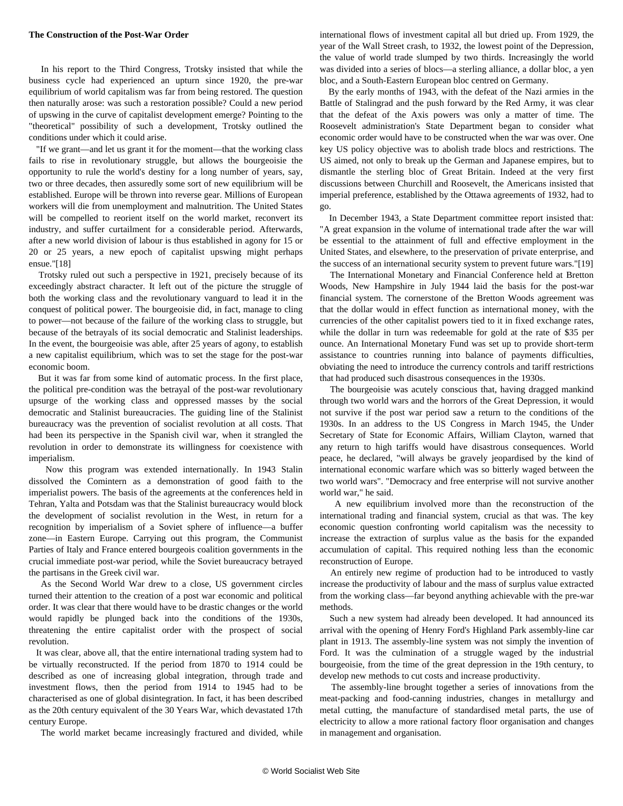#### <span id="page-6-0"></span>**The Construction of the Post-War Order**

 In his report to the Third Congress, Trotsky insisted that while the business cycle had experienced an upturn since 1920, the pre-war equilibrium of world capitalism was far from being restored. The question then naturally arose: was such a restoration possible? Could a new period of upswing in the curve of capitalist development emerge? Pointing to the "theoretical" possibility of such a development, Trotsky outlined the conditions under which it could arise.

 "If we grant—and let us grant it for the moment—that the working class fails to rise in revolutionary struggle, but allows the bourgeoisie the opportunity to rule the world's destiny for a long number of years, say, two or three decades, then assuredly some sort of new equilibrium will be established. Europe will be thrown into reverse gear. Millions of European workers will die from unemployment and malnutrition. The United States will be compelled to reorient itself on the world market, reconvert its industry, and suffer curtailment for a considerable period. Afterwards, after a new world division of labour is thus established in agony for 15 or 20 or 25 years, a new epoch of capitalist upswing might perhaps ensue."[18]

 Trotsky ruled out such a perspective in 1921, precisely because of its exceedingly abstract character. It left out of the picture the struggle of both the working class and the revolutionary vanguard to lead it in the conquest of political power. The bourgeoisie did, in fact, manage to cling to power—not because of the failure of the working class to struggle, but because of the betrayals of its social democratic and Stalinist leaderships. In the event, the bourgeoisie was able, after 25 years of agony, to establish a new capitalist equilibrium, which was to set the stage for the post-war economic boom.

 But it was far from some kind of automatic process. In the first place, the political pre-condition was the betrayal of the post-war revolutionary upsurge of the working class and oppressed masses by the social democratic and Stalinist bureaucracies. The guiding line of the Stalinist bureaucracy was the prevention of socialist revolution at all costs. That had been its perspective in the Spanish civil war, when it strangled the revolution in order to demonstrate its willingness for coexistence with imperialism.

 Now this program was extended internationally. In 1943 Stalin dissolved the Comintern as a demonstration of good faith to the imperialist powers. The basis of the agreements at the conferences held in Tehran, Yalta and Potsdam was that the Stalinist bureaucracy would block the development of socialist revolution in the West, in return for a recognition by imperialism of a Soviet sphere of influence—a buffer zone—in Eastern Europe. Carrying out this program, the Communist Parties of Italy and France entered bourgeois coalition governments in the crucial immediate post-war period, while the Soviet bureaucracy betrayed the partisans in the Greek civil war.

 As the Second World War drew to a close, US government circles turned their attention to the creation of a post war economic and political order. It was clear that there would have to be drastic changes or the world would rapidly be plunged back into the conditions of the 1930s, threatening the entire capitalist order with the prospect of social revolution.

 It was clear, above all, that the entire international trading system had to be virtually reconstructed. If the period from 1870 to 1914 could be described as one of increasing global integration, through trade and investment flows, then the period from 1914 to 1945 had to be characterised as one of global disintegration. In fact, it has been described as the 20th century equivalent of the 30 Years War, which devastated 17th century Europe.

The world market became increasingly fractured and divided, while

international flows of investment capital all but dried up. From 1929, the year of the Wall Street crash, to 1932, the lowest point of the Depression, the value of world trade slumped by two thirds. Increasingly the world was divided into a series of blocs—a sterling alliance, a dollar bloc, a yen bloc, and a South-Eastern European bloc centred on Germany.

 By the early months of 1943, with the defeat of the Nazi armies in the Battle of Stalingrad and the push forward by the Red Army, it was clear that the defeat of the Axis powers was only a matter of time. The Roosevelt administration's State Department began to consider what economic order would have to be constructed when the war was over. One key US policy objective was to abolish trade blocs and restrictions. The US aimed, not only to break up the German and Japanese empires, but to dismantle the sterling bloc of Great Britain. Indeed at the very first discussions between Churchill and Roosevelt, the Americans insisted that imperial preference, established by the Ottawa agreements of 1932, had to go.

 In December 1943, a State Department committee report insisted that: "A great expansion in the volume of international trade after the war will be essential to the attainment of full and effective employment in the United States, and elsewhere, to the preservation of private enterprise, and the success of an international security system to prevent future wars."[19]

 The International Monetary and Financial Conference held at Bretton Woods, New Hampshire in July 1944 laid the basis for the post-war financial system. The cornerstone of the Bretton Woods agreement was that the dollar would in effect function as international money, with the currencies of the other capitalist powers tied to it in fixed exchange rates, while the dollar in turn was redeemable for gold at the rate of \$35 per ounce. An International Monetary Fund was set up to provide short-term assistance to countries running into balance of payments difficulties, obviating the need to introduce the currency controls and tariff restrictions that had produced such disastrous consequences in the 1930s.

 The bourgeoisie was acutely conscious that, having dragged mankind through two world wars and the horrors of the Great Depression, it would not survive if the post war period saw a return to the conditions of the 1930s. In an address to the US Congress in March 1945, the Under Secretary of State for Economic Affairs, William Clayton, warned that any return to high tariffs would have disastrous consequences. World peace, he declared, "will always be gravely jeopardised by the kind of international economic warfare which was so bitterly waged between the two world wars". "Democracy and free enterprise will not survive another world war," he said.

 A new equilibrium involved more than the reconstruction of the international trading and financial system, crucial as that was. The key economic question confronting world capitalism was the necessity to increase the extraction of surplus value as the basis for the expanded accumulation of capital. This required nothing less than the economic reconstruction of Europe.

 An entirely new regime of production had to be introduced to vastly increase the productivity of labour and the mass of surplus value extracted from the working class—far beyond anything achievable with the pre-war methods.

 Such a new system had already been developed. It had announced its arrival with the opening of Henry Ford's Highland Park assembly-line car plant in 1913. The assembly-line system was not simply the invention of Ford. It was the culmination of a struggle waged by the industrial bourgeoisie, from the time of the great depression in the 19th century, to develop new methods to cut costs and increase productivity.

 The assembly-line brought together a series of innovations from the meat-packing and food-canning industries, changes in metallurgy and metal cutting, the manufacture of standardised metal parts, the use of electricity to allow a more rational factory floor organisation and changes in management and organisation.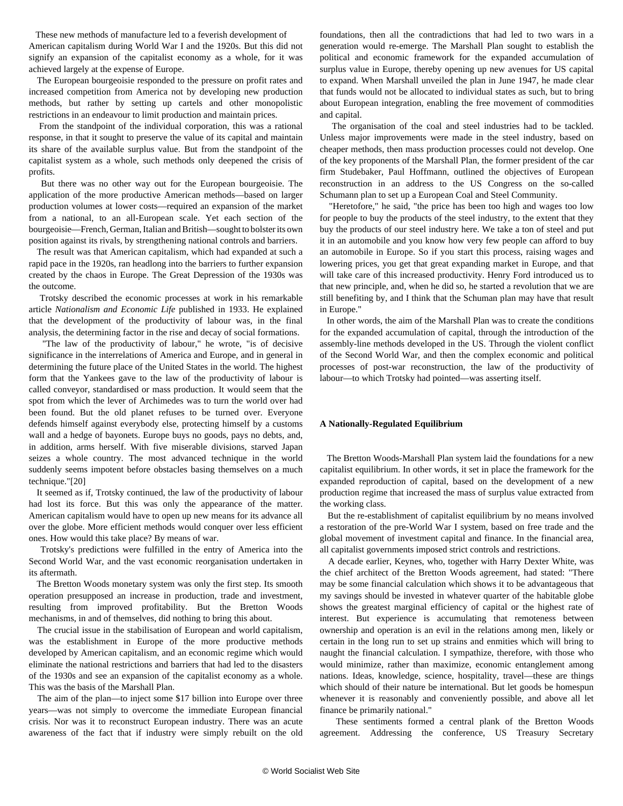<span id="page-7-0"></span> These new methods of manufacture led to a feverish development of American capitalism during World War I and the 1920s. But this did not signify an expansion of the capitalist economy as a whole, for it was achieved largely at the expense of Europe.

 The European bourgeoisie responded to the pressure on profit rates and increased competition from America not by developing new production methods, but rather by setting up cartels and other monopolistic restrictions in an endeavour to limit production and maintain prices.

 From the standpoint of the individual corporation, this was a rational response, in that it sought to preserve the value of its capital and maintain its share of the available surplus value. But from the standpoint of the capitalist system as a whole, such methods only deepened the crisis of profits.

 But there was no other way out for the European bourgeoisie. The application of the more productive American methods—based on larger production volumes at lower costs—required an expansion of the market from a national, to an all-European scale. Yet each section of the bourgeoisie—French, German, Italian and British—sought to bolster its own position against its rivals, by strengthening national controls and barriers.

 The result was that American capitalism, which had expanded at such a rapid pace in the 1920s, ran headlong into the barriers to further expansion created by the chaos in Europe. The Great Depression of the 1930s was the outcome.

 Trotsky described the economic processes at work in his remarkable article *Nationalism and Economic Life* published in 1933. He explained that the development of the productivity of labour was, in the final analysis, the determining factor in the rise and decay of social formations.

 "The law of the productivity of labour," he wrote, "is of decisive significance in the interrelations of America and Europe, and in general in determining the future place of the United States in the world. The highest form that the Yankees gave to the law of the productivity of labour is called conveyor, standardised or mass production. It would seem that the spot from which the lever of Archimedes was to turn the world over had been found. But the old planet refuses to be turned over. Everyone defends himself against everybody else, protecting himself by a customs wall and a hedge of bayonets. Europe buys no goods, pays no debts, and, in addition, arms herself. With five miserable divisions, starved Japan seizes a whole country. The most advanced technique in the world suddenly seems impotent before obstacles basing themselves on a much technique."[20]

 It seemed as if, Trotsky continued, the law of the productivity of labour had lost its force. But this was only the appearance of the matter. American capitalism would have to open up new means for its advance all over the globe. More efficient methods would conquer over less efficient ones. How would this take place? By means of war.

 Trotsky's predictions were fulfilled in the entry of America into the Second World War, and the vast economic reorganisation undertaken in its aftermath.

 The Bretton Woods monetary system was only the first step. Its smooth operation presupposed an increase in production, trade and investment, resulting from improved profitability. But the Bretton Woods mechanisms, in and of themselves, did nothing to bring this about.

 The crucial issue in the stabilisation of European and world capitalism, was the establishment in Europe of the more productive methods developed by American capitalism, and an economic regime which would eliminate the national restrictions and barriers that had led to the disasters of the 1930s and see an expansion of the capitalist economy as a whole. This was the basis of the Marshall Plan.

 The aim of the plan—to inject some \$17 billion into Europe over three years—was not simply to overcome the immediate European financial crisis. Nor was it to reconstruct European industry. There was an acute awareness of the fact that if industry were simply rebuilt on the old foundations, then all the contradictions that had led to two wars in a generation would re-emerge. The Marshall Plan sought to establish the political and economic framework for the expanded accumulation of surplus value in Europe, thereby opening up new avenues for US capital to expand. When Marshall unveiled the plan in June 1947, he made clear that funds would not be allocated to individual states as such, but to bring about European integration, enabling the free movement of commodities and capital.

 The organisation of the coal and steel industries had to be tackled. Unless major improvements were made in the steel industry, based on cheaper methods, then mass production processes could not develop. One of the key proponents of the Marshall Plan, the former president of the car firm Studebaker, Paul Hoffmann, outlined the objectives of European reconstruction in an address to the US Congress on the so-called Schumann plan to set up a European Coal and Steel Community.

 "Heretofore," he said, "the price has been too high and wages too low for people to buy the products of the steel industry, to the extent that they buy the products of our steel industry here. We take a ton of steel and put it in an automobile and you know how very few people can afford to buy an automobile in Europe. So if you start this process, raising wages and lowering prices, you get that great expanding market in Europe, and that will take care of this increased productivity. Henry Ford introduced us to that new principle, and, when he did so, he started a revolution that we are still benefiting by, and I think that the Schuman plan may have that result in Europe."

 In other words, the aim of the Marshall Plan was to create the conditions for the expanded accumulation of capital, through the introduction of the assembly-line methods developed in the US. Through the violent conflict of the Second World War, and then the complex economic and political processes of post-war reconstruction, the law of the productivity of labour—to which Trotsky had pointed—was asserting itself.

#### **A Nationally-Regulated Equilibrium**

 The Bretton Woods-Marshall Plan system laid the foundations for a new capitalist equilibrium. In other words, it set in place the framework for the expanded reproduction of capital, based on the development of a new production regime that increased the mass of surplus value extracted from the working class.

 But the re-establishment of capitalist equilibrium by no means involved a restoration of the pre-World War I system, based on free trade and the global movement of investment capital and finance. In the financial area, all capitalist governments imposed strict controls and restrictions.

 A decade earlier, Keynes, who, together with Harry Dexter White, was the chief architect of the Bretton Woods agreement, had stated: "There may be some financial calculation which shows it to be advantageous that my savings should be invested in whatever quarter of the habitable globe shows the greatest marginal efficiency of capital or the highest rate of interest. But experience is accumulating that remoteness between ownership and operation is an evil in the relations among men, likely or certain in the long run to set up strains and enmities which will bring to naught the financial calculation. I sympathize, therefore, with those who would minimize, rather than maximize, economic entanglement among nations. Ideas, knowledge, science, hospitality, travel—these are things which should of their nature be international. But let goods be homespun whenever it is reasonably and conveniently possible, and above all let finance be primarily national."

 These sentiments formed a central plank of the Bretton Woods agreement. Addressing the conference, US Treasury Secretary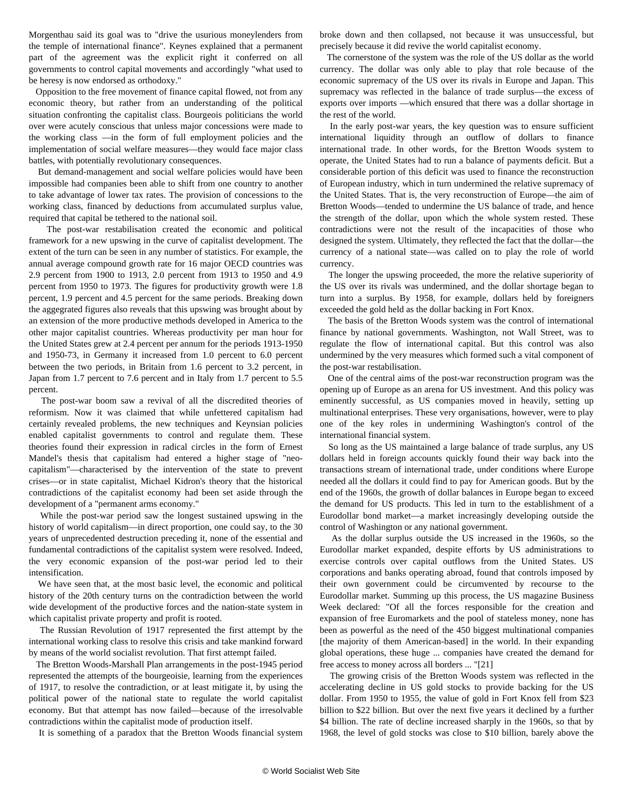<span id="page-8-0"></span>Morgenthau said its goal was to "drive the usurious moneylenders from the temple of international finance". Keynes explained that a permanent part of the agreement was the explicit right it conferred on all governments to control capital movements and accordingly "what used to be heresy is now endorsed as orthodoxy."

 Opposition to the free movement of finance capital flowed, not from any economic theory, but rather from an understanding of the political situation confronting the capitalist class. Bourgeois politicians the world over were acutely conscious that unless major concessions were made to the working class —in the form of full employment policies and the implementation of social welfare measures—they would face major class battles, with potentially revolutionary consequences.

 But demand-management and social welfare policies would have been impossible had companies been able to shift from one country to another to take advantage of lower tax rates. The provision of concessions to the working class, financed by deductions from accumulated surplus value, required that capital be tethered to the national soil.

 The post-war restabilisation created the economic and political framework for a new upswing in the curve of capitalist development. The extent of the turn can be seen in any number of statistics. For example, the annual average compound growth rate for 16 major OECD countries was 2.9 percent from 1900 to 1913, 2.0 percent from 1913 to 1950 and 4.9 percent from 1950 to 1973. The figures for productivity growth were 1.8 percent, 1.9 percent and 4.5 percent for the same periods. Breaking down the aggegrated figures also reveals that this upswing was brought about by an extension of the more productive methods developed in America to the other major capitalist countries. Whereas productivity per man hour for the United States grew at 2.4 percent per annum for the periods 1913-1950 and 1950-73, in Germany it increased from 1.0 percent to 6.0 percent between the two periods, in Britain from 1.6 percent to 3.2 percent, in Japan from 1.7 percent to 7.6 percent and in Italy from 1.7 percent to 5.5 percent.

 The post-war boom saw a revival of all the discredited theories of reformism. Now it was claimed that while unfettered capitalism had certainly revealed problems, the new techniques and Keynsian policies enabled capitalist governments to control and regulate them. These theories found their expression in radical circles in the form of Ernest Mandel's thesis that capitalism had entered a higher stage of "neocapitalism"—characterised by the intervention of the state to prevent crises—or in state capitalist, Michael Kidron's theory that the historical contradictions of the capitalist economy had been set aside through the development of a "permanent arms economy."

 While the post-war period saw the longest sustained upswing in the history of world capitalism—in direct proportion, one could say, to the 30 years of unprecedented destruction preceding it, none of the essential and fundamental contradictions of the capitalist system were resolved. Indeed, the very economic expansion of the post-war period led to their intensification.

 We have seen that, at the most basic level, the economic and political history of the 20th century turns on the contradiction between the world wide development of the productive forces and the nation-state system in which capitalist private property and profit is rooted.

 The Russian Revolution of 1917 represented the first attempt by the international working class to resolve this crisis and take mankind forward by means of the world socialist revolution. That first attempt failed.

 The Bretton Woods-Marshall Plan arrangements in the post-1945 period represented the attempts of the bourgeoisie, learning from the experiences of 1917, to resolve the contradiction, or at least mitigate it, by using the political power of the national state to regulate the world capitalist economy. But that attempt has now failed—because of the irresolvable contradictions within the capitalist mode of production itself.

It is something of a paradox that the Bretton Woods financial system

broke down and then collapsed, not because it was unsuccessful, but precisely because it did revive the world capitalist economy.

 The cornerstone of the system was the role of the US dollar as the world currency. The dollar was only able to play that role because of the economic supremacy of the US over its rivals in Europe and Japan. This supremacy was reflected in the balance of trade surplus—the excess of exports over imports —which ensured that there was a dollar shortage in the rest of the world.

 In the early post-war years, the key question was to ensure sufficient international liquidity through an outflow of dollars to finance international trade. In other words, for the Bretton Woods system to operate, the United States had to run a balance of payments deficit. But a considerable portion of this deficit was used to finance the reconstruction of European industry, which in turn undermined the relative supremacy of the United States. That is, the very reconstruction of Europe—the aim of Bretton Woods—tended to undermine the US balance of trade, and hence the strength of the dollar, upon which the whole system rested. These contradictions were not the result of the incapacities of those who designed the system. Ultimately, they reflected the fact that the dollar—the currency of a national state—was called on to play the role of world currency.

 The longer the upswing proceeded, the more the relative superiority of the US over its rivals was undermined, and the dollar shortage began to turn into a surplus. By 1958, for example, dollars held by foreigners exceeded the gold held as the dollar backing in Fort Knox.

 The basis of the Bretton Woods system was the control of international finance by national governments. Washington, not Wall Street, was to regulate the flow of international capital. But this control was also undermined by the very measures which formed such a vital component of the post-war restabilisation.

 One of the central aims of the post-war reconstruction program was the opening up of Europe as an arena for US investment. And this policy was eminently successful, as US companies moved in heavily, setting up multinational enterprises. These very organisations, however, were to play one of the key roles in undermining Washington's control of the international financial system.

 So long as the US maintained a large balance of trade surplus, any US dollars held in foreign accounts quickly found their way back into the transactions stream of international trade, under conditions where Europe needed all the dollars it could find to pay for American goods. But by the end of the 1960s, the growth of dollar balances in Europe began to exceed the demand for US products. This led in turn to the establishment of a Eurodollar bond market—a market increasingly developing outside the control of Washington or any national government.

 As the dollar surplus outside the US increased in the 1960s, so the Eurodollar market expanded, despite efforts by US administrations to exercise controls over capital outflows from the United States. US corporations and banks operating abroad, found that controls imposed by their own government could be circumvented by recourse to the Eurodollar market. Summing up this process, the US magazine Business Week declared: "Of all the forces responsible for the creation and expansion of free Euromarkets and the pool of stateless money, none has been as powerful as the need of the 450 biggest multinational companies [the majority of them American-based] in the world. In their expanding global operations, these huge ... companies have created the demand for free access to money across all borders ... "[21]

 The growing crisis of the Bretton Woods system was reflected in the accelerating decline in US gold stocks to provide backing for the US dollar. From 1950 to 1955, the value of gold in Fort Knox fell from \$23 billion to \$22 billion. But over the next five years it declined by a further \$4 billion. The rate of decline increased sharply in the 1960s, so that by 1968, the level of gold stocks was close to \$10 billion, barely above the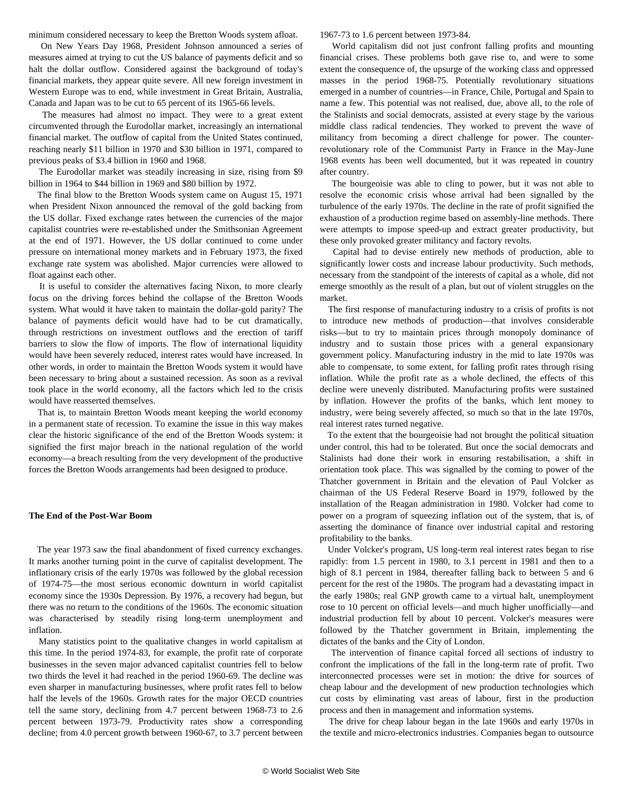<span id="page-9-0"></span>minimum considered necessary to keep the Bretton Woods system afloat.

 On New Years Day 1968, President Johnson announced a series of measures aimed at trying to cut the US balance of payments deficit and so halt the dollar outflow. Considered against the background of today's financial markets, they appear quite severe. All new foreign investment in Western Europe was to end, while investment in Great Britain, Australia, Canada and Japan was to be cut to 65 percent of its 1965-66 levels.

 The measures had almost no impact. They were to a great extent circumvented through the Eurodollar market, increasingly an international financial market. The outflow of capital from the United States continued, reaching nearly \$11 billion in 1970 and \$30 billion in 1971, compared to previous peaks of \$3.4 billion in 1960 and 1968.

 The Eurodollar market was steadily increasing in size, rising from \$9 billion in 1964 to \$44 billion in 1969 and \$80 billion by 1972.

 The final blow to the Bretton Woods system came on August 15, 1971 when President Nixon announced the removal of the gold backing from the US dollar. Fixed exchange rates between the currencies of the major capitalist countries were re-established under the Smithsonian Agreement at the end of 1971. However, the US dollar continued to come under pressure on international money markets and in February 1973, the fixed exchange rate system was abolished. Major currencies were allowed to float against each other.

 It is useful to consider the alternatives facing Nixon, to more clearly focus on the driving forces behind the collapse of the Bretton Woods system. What would it have taken to maintain the dollar-gold parity? The balance of payments deficit would have had to be cut dramatically, through restrictions on investment outflows and the erection of tariff barriers to slow the flow of imports. The flow of international liquidity would have been severely reduced, interest rates would have increased. In other words, in order to maintain the Bretton Woods system it would have been necessary to bring about a sustained recession. As soon as a revival took place in the world economy, all the factors which led to the crisis would have reasserted themselves.

 That is, to maintain Bretton Woods meant keeping the world economy in a permanent state of recession. To examine the issue in this way makes clear the historic significance of the end of the Bretton Woods system: it signified the first major breach in the national regulation of the world economy—a breach resulting from the very development of the productive forces the Bretton Woods arrangements had been designed to produce.

#### **The End of the Post-War Boom**

 The year 1973 saw the final abandonment of fixed currency exchanges. It marks another turning point in the curve of capitalist development. The inflationary crisis of the early 1970s was followed by the global recession of 1974-75—the most serious economic downturn in world capitalist economy since the 1930s Depression. By 1976, a recovery had begun, but there was no return to the conditions of the 1960s. The economic situation was characterised by steadily rising long-term unemployment and inflation.

 Many statistics point to the qualitative changes in world capitalism at this time. In the period 1974-83, for example, the profit rate of corporate businesses in the seven major advanced capitalist countries fell to below two thirds the level it had reached in the period 1960-69. The decline was even sharper in manufacturing businesses, where profit rates fell to below half the levels of the 1960s. Growth rates for the major OECD countries tell the same story, declining from 4.7 percent between 1968-73 to 2.6 percent between 1973-79. Productivity rates show a corresponding decline; from 4.0 percent growth between 1960-67, to 3.7 percent between 1967-73 to 1.6 percent between 1973-84.

 World capitalism did not just confront falling profits and mounting financial crises. These problems both gave rise to, and were to some extent the consequence of, the upsurge of the working class and oppressed masses in the period 1968-75. Potentially revolutionary situations emerged in a number of countries—in France, Chile, Portugal and Spain to name a few. This potential was not realised, due, above all, to the role of the Stalinists and social democrats, assisted at every stage by the various middle class radical tendencies. They worked to prevent the wave of militancy from becoming a direct challenge for power. The counterrevolutionary role of the Communist Party in France in the May-June 1968 events has been well documented, but it was repeated in country after country.

 The bourgeoisie was able to cling to power, but it was not able to resolve the economic crisis whose arrival had been signalled by the turbulence of the early 1970s. The decline in the rate of profit signified the exhaustion of a production regime based on assembly-line methods. There were attempts to impose speed-up and extract greater productivity, but these only provoked greater militancy and factory revolts.

 Capital had to devise entirely new methods of production, able to significantly lower costs and increase labour productivity. Such methods, necessary from the standpoint of the interests of capital as a whole, did not emerge smoothly as the result of a plan, but out of violent struggles on the market.

 The first response of manufacturing industry to a crisis of profits is not to introduce new methods of production—that involves considerable risks—but to try to maintain prices through monopoly dominance of industry and to sustain those prices with a general expansionary government policy. Manufacturing industry in the mid to late 1970s was able to compensate, to some extent, for falling profit rates through rising inflation. While the profit rate as a whole declined, the effects of this decline were unevenly distributed. Manufacturing profits were sustained by inflation. However the profits of the banks, which lent money to industry, were being severely affected, so much so that in the late 1970s, real interest rates turned negative.

 To the extent that the bourgeoisie had not brought the political situation under control, this had to be tolerated. But once the social democrats and Stalinists had done their work in ensuring restabilisation, a shift in orientation took place. This was signalled by the coming to power of the Thatcher government in Britain and the elevation of Paul Volcker as chairman of the US Federal Reserve Board in 1979, followed by the installation of the Reagan administration in 1980. Volcker had come to power on a program of squeezing inflation out of the system, that is, of asserting the dominance of finance over industrial capital and restoring profitability to the banks.

 Under Volcker's program, US long-term real interest rates began to rise rapidly: from 1.5 percent in 1980, to 3.1 percent in 1981 and then to a high of 8.1 percent in 1984, thereafter falling back to between 5 and 6 percent for the rest of the 1980s. The program had a devastating impact in the early 1980s; real GNP growth came to a virtual halt, unemployment rose to 10 percent on official levels—and much higher unofficially—and industrial production fell by about 10 percent. Volcker's measures were followed by the Thatcher government in Britain, implementing the dictates of the banks and the City of London.

 The intervention of finance capital forced all sections of industry to confront the implications of the fall in the long-term rate of profit. Two interconnected processes were set in motion: the drive for sources of cheap labour and the development of new production technologies which cut costs by eliminating vast areas of labour, first in the production process and then in management and information systems.

 The drive for cheap labour began in the late 1960s and early 1970s in the textile and micro-electronics industries. Companies began to outsource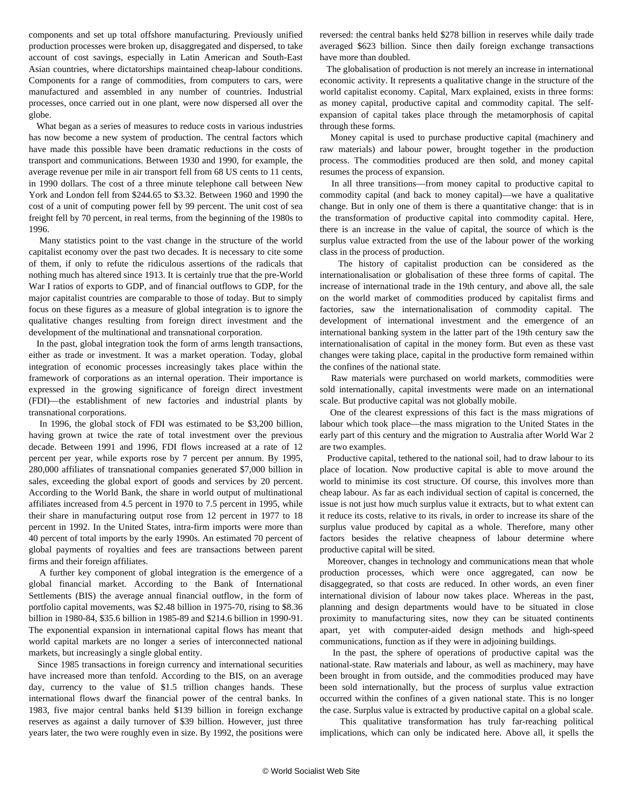<span id="page-10-0"></span>components and set up total offshore manufacturing. Previously unified production processes were broken up, disaggregated and dispersed, to take account of cost savings, especially in Latin American and South-East Asian countries, where dictatorships maintained cheap-labour conditions. Components for a range of commodities, from computers to cars, were manufactured and assembled in any number of countries. Industrial processes, once carried out in one plant, were now dispersed all over the globe.

 What began as a series of measures to reduce costs in various industries has now become a new system of production. The central factors which have made this possible have been dramatic reductions in the costs of transport and communications. Between 1930 and 1990, for example, the average revenue per mile in air transport fell from 68 US cents to 11 cents, in 1990 dollars. The cost of a three minute telephone call between New York and London fell from \$244.65 to \$3.32. Between 1960 and 1990 the cost of a unit of computing power fell by 99 percent. The unit cost of sea freight fell by 70 percent, in real terms, from the beginning of the 1980s to 1996.

 Many statistics point to the vast change in the structure of the world capitalist economy over the past two decades. It is necessary to cite some of them, if only to refute the ridiculous assertions of the radicals that nothing much has altered since 1913. It is certainly true that the pre-World War I ratios of exports to GDP, and of financial outflows to GDP, for the major capitalist countries are comparable to those of today. But to simply focus on these figures as a measure of global integration is to ignore the qualitative changes resulting from foreign direct investment and the development of the multinational and transnational corporation.

 In the past, global integration took the form of arms length transactions, either as trade or investment. It was a market operation. Today, global integration of economic processes increasingly takes place within the framework of corporations as an internal operation. Their importance is expressed in the growing significance of foreign direct investment (FDI)—the establishment of new factories and industrial plants by transnational corporations.

 In 1996, the global stock of FDI was estimated to be \$3,200 billion, having grown at twice the rate of total investment over the previous decade. Between 1991 and 1996, FDI flows increased at a rate of 12 percent per year, while exports rose by 7 percent per annum. By 1995, 280,000 affiliates of transnational companies generated \$7,000 billion in sales, exceeding the global export of goods and services by 20 percent. According to the World Bank, the share in world output of multinational affiliates increased from 4.5 percent in 1970 to 7.5 percent in 1995, while their share in manufacturing output rose from 12 percent in 1977 to 18 percent in 1992. In the United States, intra-firm imports were more than 40 percent of total imports by the early 1990s. An estimated 70 percent of global payments of royalties and fees are transactions between parent firms and their foreign affiliates.

 A further key component of global integration is the emergence of a global financial market. According to the Bank of International Settlements (BIS) the average annual financial outflow, in the form of portfolio capital movements, was \$2.48 billion in 1975-70, rising to \$8.36 billion in 1980-84, \$35.6 billion in 1985-89 and \$214.6 billion in 1990-91. The exponential expansion in international capital flows has meant that world capital markets are no longer a series of interconnected national markets, but increasingly a single global entity.

 Since 1985 transactions in foreign currency and international securities have increased more than tenfold. According to the BIS, on an average day, currency to the value of \$1.5 trillion changes hands. These international flows dwarf the financial power of the central banks. In 1983, five major central banks held \$139 billion in foreign exchange reserves as against a daily turnover of \$39 billion. However, just three years later, the two were roughly even in size. By 1992, the positions were reversed: the central banks held \$278 billion in reserves while daily trade averaged \$623 billion. Since then daily foreign exchange transactions have more than doubled.

 The globalisation of production is not merely an increase in international economic activity. It represents a qualitative change in the structure of the world capitalist economy. Capital, Marx explained, exists in three forms: as money capital, productive capital and commodity capital. The selfexpansion of capital takes place through the metamorphosis of capital through these forms.

 Money capital is used to purchase productive capital (machinery and raw materials) and labour power, brought together in the production process. The commodities produced are then sold, and money capital resumes the process of expansion.

 In all three transitions—from money capital to productive capital to commodity capital (and back to money capital)—we have a qualitative change. But in only one of them is there a quantitative change: that is in the transformation of productive capital into commodity capital. Here, there is an increase in the value of capital, the source of which is the surplus value extracted from the use of the labour power of the working class in the process of production.

 The history of capitalist production can be considered as the internationalisation or globalisation of these three forms of capital. The increase of international trade in the 19th century, and above all, the sale on the world market of commodities produced by capitalist firms and factories, saw the internationalisation of commodity capital. The development of international investment and the emergence of an international banking system in the latter part of the 19th century saw the internationalisation of capital in the money form. But even as these vast changes were taking place, capital in the productive form remained within the confines of the national state.

 Raw materials were purchased on world markets, commodities were sold internationally, capital investments were made on an international scale. But productive capital was not globally mobile.

 One of the clearest expressions of this fact is the mass migrations of labour which took place—the mass migration to the United States in the early part of this century and the migration to Australia after World War 2 are two examples.

 Productive capital, tethered to the national soil, had to draw labour to its place of location. Now productive capital is able to move around the world to minimise its cost structure. Of course, this involves more than cheap labour. As far as each individual section of capital is concerned, the issue is not just how much surplus value it extracts, but to what extent can it reduce its costs, relative to its rivals, in order to increase its share of the surplus value produced by capital as a whole. Therefore, many other factors besides the relative cheapness of labour determine where productive capital will be sited.

 Moreover, changes in technology and communications mean that whole production processes, which were once aggregated, can now be disaggegrated, so that costs are reduced. In other words, an even finer international division of labour now takes place. Whereas in the past, planning and design departments would have to be situated in close proximity to manufacturing sites, now they can be situated continents apart, yet with computer-aided design methods and high-speed communications, function as if they were in adjoining buildings.

 In the past, the sphere of operations of productive capital was the national-state. Raw materials and labour, as well as machinery, may have been brought in from outside, and the commodities produced may have been sold internationally, but the process of surplus value extraction occurred within the confines of a given national state. This is no longer the case. Surplus value is extracted by productive capital on a global scale.

 This qualitative transformation has truly far-reaching political implications, which can only be indicated here. Above all, it spells the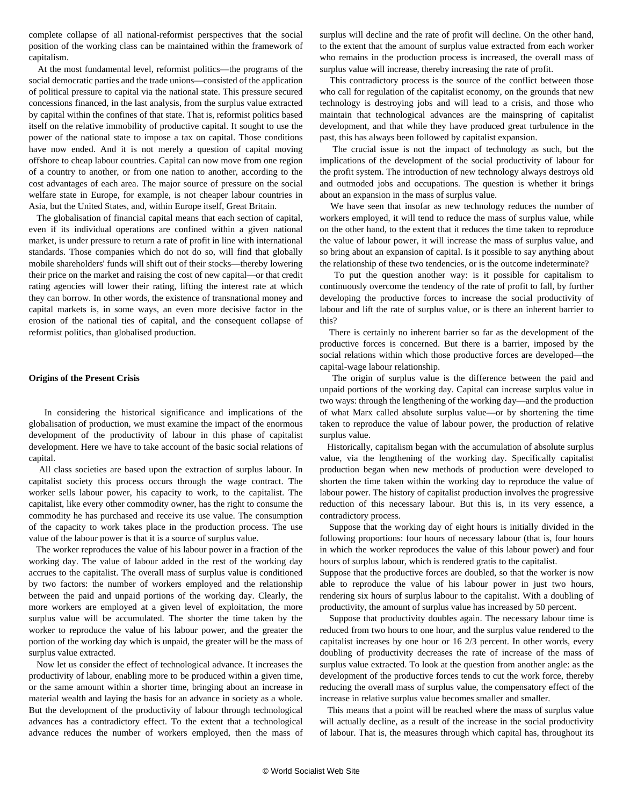<span id="page-11-0"></span>complete collapse of all national-reformist perspectives that the social position of the working class can be maintained within the framework of capitalism.

 At the most fundamental level, reformist politics—the programs of the social democratic parties and the trade unions—consisted of the application of political pressure to capital via the national state. This pressure secured concessions financed, in the last analysis, from the surplus value extracted by capital within the confines of that state. That is, reformist politics based itself on the relative immobility of productive capital. It sought to use the power of the national state to impose a tax on capital. Those conditions have now ended. And it is not merely a question of capital moving offshore to cheap labour countries. Capital can now move from one region of a country to another, or from one nation to another, according to the cost advantages of each area. The major source of pressure on the social welfare state in Europe, for example, is not cheaper labour countries in Asia, but the United States, and, within Europe itself, Great Britain.

 The globalisation of financial capital means that each section of capital, even if its individual operations are confined within a given national market, is under pressure to return a rate of profit in line with international standards. Those companies which do not do so, will find that globally mobile shareholders' funds will shift out of their stocks—thereby lowering their price on the market and raising the cost of new capital—or that credit rating agencies will lower their rating, lifting the interest rate at which they can borrow. In other words, the existence of transnational money and capital markets is, in some ways, an even more decisive factor in the erosion of the national ties of capital, and the consequent collapse of reformist politics, than globalised production.

#### **Origins of the Present Crisis**

 In considering the historical significance and implications of the globalisation of production, we must examine the impact of the enormous development of the productivity of labour in this phase of capitalist development. Here we have to take account of the basic social relations of capital.

 All class societies are based upon the extraction of surplus labour. In capitalist society this process occurs through the wage contract. The worker sells labour power, his capacity to work, to the capitalist. The capitalist, like every other commodity owner, has the right to consume the commodity he has purchased and receive its use value. The consumption of the capacity to work takes place in the production process. The use value of the labour power is that it is a source of surplus value.

 The worker reproduces the value of his labour power in a fraction of the working day. The value of labour added in the rest of the working day accrues to the capitalist. The overall mass of surplus value is conditioned by two factors: the number of workers employed and the relationship between the paid and unpaid portions of the working day. Clearly, the more workers are employed at a given level of exploitation, the more surplus value will be accumulated. The shorter the time taken by the worker to reproduce the value of his labour power, and the greater the portion of the working day which is unpaid, the greater will be the mass of surplus value extracted.

 Now let us consider the effect of technological advance. It increases the productivity of labour, enabling more to be produced within a given time, or the same amount within a shorter time, bringing about an increase in material wealth and laying the basis for an advance in society as a whole. But the development of the productivity of labour through technological advances has a contradictory effect. To the extent that a technological advance reduces the number of workers employed, then the mass of surplus will decline and the rate of profit will decline. On the other hand, to the extent that the amount of surplus value extracted from each worker who remains in the production process is increased, the overall mass of surplus value will increase, thereby increasing the rate of profit.

 This contradictory process is the source of the conflict between those who call for regulation of the capitalist economy, on the grounds that new technology is destroying jobs and will lead to a crisis, and those who maintain that technological advances are the mainspring of capitalist development, and that while they have produced great turbulence in the past, this has always been followed by capitalist expansion.

 The crucial issue is not the impact of technology as such, but the implications of the development of the social productivity of labour for the profit system. The introduction of new technology always destroys old and outmoded jobs and occupations. The question is whether it brings about an expansion in the mass of surplus value.

 We have seen that insofar as new technology reduces the number of workers employed, it will tend to reduce the mass of surplus value, while on the other hand, to the extent that it reduces the time taken to reproduce the value of labour power, it will increase the mass of surplus value, and so bring about an expansion of capital. Is it possible to say anything about the relationship of these two tendencies, or is the outcome indeterminate?

 To put the question another way: is it possible for capitalism to continuously overcome the tendency of the rate of profit to fall, by further developing the productive forces to increase the social productivity of labour and lift the rate of surplus value, or is there an inherent barrier to this?

 There is certainly no inherent barrier so far as the development of the productive forces is concerned. But there is a barrier, imposed by the social relations within which those productive forces are developed—the capital-wage labour relationship.

 The origin of surplus value is the difference between the paid and unpaid portions of the working day. Capital can increase surplus value in two ways: through the lengthening of the working day—and the production of what Marx called absolute surplus value—or by shortening the time taken to reproduce the value of labour power, the production of relative surplus value.

 Historically, capitalism began with the accumulation of absolute surplus value, via the lengthening of the working day. Specifically capitalist production began when new methods of production were developed to shorten the time taken within the working day to reproduce the value of labour power. The history of capitalist production involves the progressive reduction of this necessary labour. But this is, in its very essence, a contradictory process.

 Suppose that the working day of eight hours is initially divided in the following proportions: four hours of necessary labour (that is, four hours in which the worker reproduces the value of this labour power) and four hours of surplus labour, which is rendered gratis to the capitalist.

Suppose that the productive forces are doubled, so that the worker is now able to reproduce the value of his labour power in just two hours, rendering six hours of surplus labour to the capitalist. With a doubling of productivity, the amount of surplus value has increased by 50 percent.

 Suppose that productivity doubles again. The necessary labour time is reduced from two hours to one hour, and the surplus value rendered to the capitalist increases by one hour or 16 2/3 percent. In other words, every doubling of productivity decreases the rate of increase of the mass of surplus value extracted. To look at the question from another angle: as the development of the productive forces tends to cut the work force, thereby reducing the overall mass of surplus value, the compensatory effect of the increase in relative surplus value becomes smaller and smaller.

 This means that a point will be reached where the mass of surplus value will actually decline, as a result of the increase in the social productivity of labour. That is, the measures through which capital has, throughout its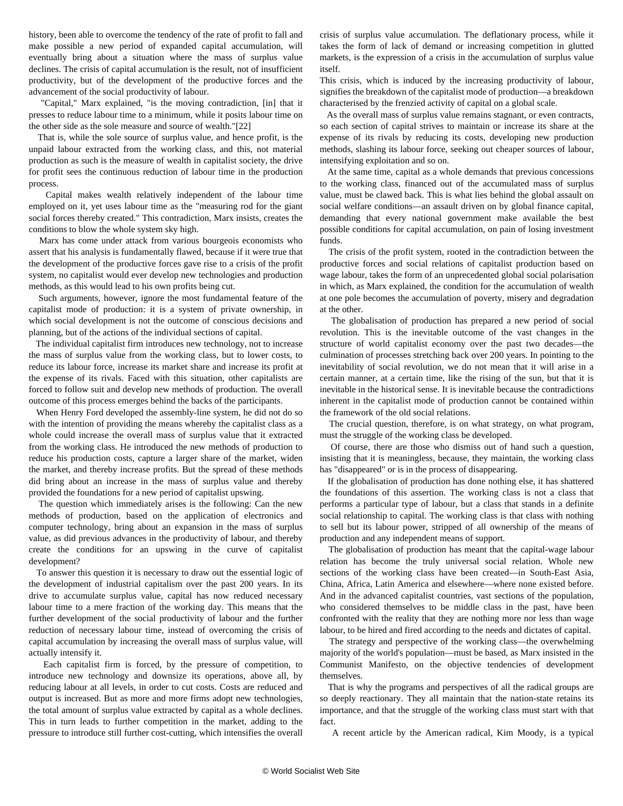<span id="page-12-0"></span>history, been able to overcome the tendency of the rate of profit to fall and make possible a new period of expanded capital accumulation, will eventually bring about a situation where the mass of surplus value declines. The crisis of capital accumulation is the result, not of insufficient productivity, but of the development of the productive forces and the advancement of the social productivity of labour.

 "Capital," Marx explained, "is the moving contradiction, [in] that it presses to reduce labour time to a minimum, while it posits labour time on the other side as the sole measure and source of wealth."[22]

 That is, while the sole source of surplus value, and hence profit, is the unpaid labour extracted from the working class, and this, not material production as such is the measure of wealth in capitalist society, the drive for profit sees the continuous reduction of labour time in the production process.

 Capital makes wealth relatively independent of the labour time employed on it, yet uses labour time as the "measuring rod for the giant social forces thereby created." This contradiction, Marx insists, creates the conditions to blow the whole system sky high.

 Marx has come under attack from various bourgeois economists who assert that his analysis is fundamentally flawed, because if it were true that the development of the productive forces gave rise to a crisis of the profit system, no capitalist would ever develop new technologies and production methods, as this would lead to his own profits being cut.

 Such arguments, however, ignore the most fundamental feature of the capitalist mode of production: it is a system of private ownership, in which social development is not the outcome of conscious decisions and planning, but of the actions of the individual sections of capital.

 The individual capitalist firm introduces new technology, not to increase the mass of surplus value from the working class, but to lower costs, to reduce its labour force, increase its market share and increase its profit at the expense of its rivals. Faced with this situation, other capitalists are forced to follow suit and develop new methods of production. The overall outcome of this process emerges behind the backs of the participants.

 When Henry Ford developed the assembly-line system, he did not do so with the intention of providing the means whereby the capitalist class as a whole could increase the overall mass of surplus value that it extracted from the working class. He introduced the new methods of production to reduce his production costs, capture a larger share of the market, widen the market, and thereby increase profits. But the spread of these methods did bring about an increase in the mass of surplus value and thereby provided the foundations for a new period of capitalist upswing.

 The question which immediately arises is the following: Can the new methods of production, based on the application of electronics and computer technology, bring about an expansion in the mass of surplus value, as did previous advances in the productivity of labour, and thereby create the conditions for an upswing in the curve of capitalist development?

 To answer this question it is necessary to draw out the essential logic of the development of industrial capitalism over the past 200 years. In its drive to accumulate surplus value, capital has now reduced necessary labour time to a mere fraction of the working day. This means that the further development of the social productivity of labour and the further reduction of necessary labour time, instead of overcoming the crisis of capital accumulation by increasing the overall mass of surplus value, will actually intensify it.

 Each capitalist firm is forced, by the pressure of competition, to introduce new technology and downsize its operations, above all, by reducing labour at all levels, in order to cut costs. Costs are reduced and output is increased. But as more and more firms adopt new technologies, the total amount of surplus value extracted by capital as a whole declines. This in turn leads to further competition in the market, adding to the pressure to introduce still further cost-cutting, which intensifies the overall crisis of surplus value accumulation. The deflationary process, while it takes the form of lack of demand or increasing competition in glutted markets, is the expression of a crisis in the accumulation of surplus value itself.

This crisis, which is induced by the increasing productivity of labour, signifies the breakdown of the capitalist mode of production—a breakdown characterised by the frenzied activity of capital on a global scale.

 As the overall mass of surplus value remains stagnant, or even contracts, so each section of capital strives to maintain or increase its share at the expense of its rivals by reducing its costs, developing new production methods, slashing its labour force, seeking out cheaper sources of labour, intensifying exploitation and so on.

 At the same time, capital as a whole demands that previous concessions to the working class, financed out of the accumulated mass of surplus value, must be clawed back. This is what lies behind the global assault on social welfare conditions—an assault driven on by global finance capital, demanding that every national government make available the best possible conditions for capital accumulation, on pain of losing investment funds.

 The crisis of the profit system, rooted in the contradiction between the productive forces and social relations of capitalist production based on wage labour, takes the form of an unprecedented global social polarisation in which, as Marx explained, the condition for the accumulation of wealth at one pole becomes the accumulation of poverty, misery and degradation at the other.

 The globalisation of production has prepared a new period of social revolution. This is the inevitable outcome of the vast changes in the structure of world capitalist economy over the past two decades—the culmination of processes stretching back over 200 years. In pointing to the inevitability of social revolution, we do not mean that it will arise in a certain manner, at a certain time, like the rising of the sun, but that it is inevitable in the historical sense. It is inevitable because the contradictions inherent in the capitalist mode of production cannot be contained within the framework of the old social relations.

 The crucial question, therefore, is on what strategy, on what program, must the struggle of the working class be developed.

 Of course, there are those who dismiss out of hand such a question, insisting that it is meaningless, because, they maintain, the working class has "disappeared" or is in the process of disappearing.

 If the globalisation of production has done nothing else, it has shattered the foundations of this assertion. The working class is not a class that performs a particular type of labour, but a class that stands in a definite social relationship to capital. The working class is that class with nothing to sell but its labour power, stripped of all ownership of the means of production and any independent means of support.

 The globalisation of production has meant that the capital-wage labour relation has become the truly universal social relation. Whole new sections of the working class have been created—in South-East Asia, China, Africa, Latin America and elsewhere—where none existed before. And in the advanced capitalist countries, vast sections of the population, who considered themselves to be middle class in the past, have been confronted with the reality that they are nothing more nor less than wage labour, to be hired and fired according to the needs and dictates of capital.

 The strategy and perspective of the working class—the overwhelming majority of the world's population—must be based, as Marx insisted in the Communist Manifesto, on the objective tendencies of development themselves.

 That is why the programs and perspectives of all the radical groups are so deeply reactionary. They all maintain that the nation-state retains its importance, and that the struggle of the working class must start with that fact.

A recent article by the American radical, Kim Moody, is a typical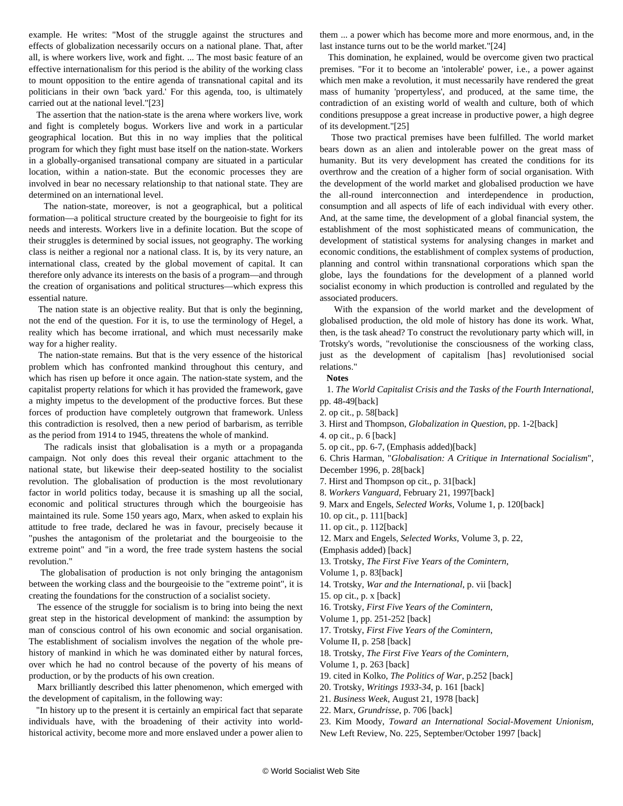<span id="page-13-0"></span>example. He writes: "Most of the struggle against the structures and effects of globalization necessarily occurs on a national plane. That, after all, is where workers live, work and fight. ... The most basic feature of an effective internationalism for this period is the ability of the working class to mount opposition to the entire agenda of transnational capital and its politicians in their own 'back yard.' For this agenda, too, is ultimately carried out at the national level."[23]

 The assertion that the nation-state is the arena where workers live, work and fight is completely bogus. Workers live and work in a particular geographical location. But this in no way implies that the political program for which they fight must base itself on the nation-state. Workers in a globally-organised transational company are situated in a particular location, within a nation-state. But the economic processes they are involved in bear no necessary relationship to that national state. They are determined on an international level.

 The nation-state, moreover, is not a geographical, but a political formation—a political structure created by the bourgeoisie to fight for its needs and interests. Workers live in a definite location. But the scope of their struggles is determined by social issues, not geography. The working class is neither a regional nor a national class. It is, by its very nature, an international class, created by the global movement of capital. It can therefore only advance its interests on the basis of a program—and through the creation of organisations and political structures—which express this essential nature.

 The nation state is an objective reality. But that is only the beginning, not the end of the question. For it is, to use the terminology of Hegel, a reality which has become irrational, and which must necessarily make way for a higher reality.

 The nation-state remains. But that is the very essence of the historical problem which has confronted mankind throughout this century, and which has risen up before it once again. The nation-state system, and the capitalist property relations for which it has provided the framework, gave a mighty impetus to the development of the productive forces. But these forces of production have completely outgrown that framework. Unless this contradiction is resolved, then a new period of barbarism, as terrible as the period from 1914 to 1945, threatens the whole of mankind.

 The radicals insist that globalisation is a myth or a propaganda campaign. Not only does this reveal their organic attachment to the national state, but likewise their deep-seated hostility to the socialist revolution. The globalisation of production is the most revolutionary factor in world politics today, because it is smashing up all the social, economic and political structures through which the bourgeoisie has maintained its rule. Some 150 years ago, Marx, when asked to explain his attitude to free trade, declared he was in favour, precisely because it "pushes the antagonism of the proletariat and the bourgeoisie to the extreme point" and "in a word, the free trade system hastens the social revolution."

 The globalisation of production is not only bringing the antagonism between the working class and the bourgeoisie to the "extreme point", it is creating the foundations for the construction of a socialist society.

 The essence of the struggle for socialism is to bring into being the next great step in the historical development of mankind: the assumption by man of conscious control of his own economic and social organisation. The establishment of socialism involves the negation of the whole prehistory of mankind in which he was dominated either by natural forces, over which he had no control because of the poverty of his means of production, or by the products of his own creation.

 Marx brilliantly described this latter phenomenon, which emerged with the development of capitalism, in the following way:

 "In history up to the present it is certainly an empirical fact that separate individuals have, with the broadening of their activity into worldhistorical activity, become more and more enslaved under a power alien to

them ... a power which has become more and more enormous, and, in the last instance turns out to be the world market."[24]

 This domination, he explained, would be overcome given two practical premises. "For it to become an 'intolerable' power, i.e., a power against which men make a revolution, it must necessarily have rendered the great mass of humanity 'propertyless', and produced, at the same time, the contradiction of an existing world of wealth and culture, both of which conditions presuppose a great increase in productive power, a high degree of its development."[25]

 Those two practical premises have been fulfilled. The world market bears down as an alien and intolerable power on the great mass of humanity. But its very development has created the conditions for its overthrow and the creation of a higher form of social organisation. With the development of the world market and globalised production we have the all-round interconnection and interdependence in production, consumption and all aspects of life of each individual with every other. And, at the same time, the development of a global financial system, the establishment of the most sophisticated means of communication, the development of statistical systems for analysing changes in market and economic conditions, the establishment of complex systems of production, planning and control within transnational corporations which span the globe, lays the foundations for the development of a planned world socialist economy in which production is controlled and regulated by the associated producers.

 With the expansion of the world market and the development of globalised production, the old mole of history has done its work. What, then, is the task ahead? To construct the revolutionary party which will, in Trotsky's words, "revolutionise the consciousness of the working class, just as the development of capitalism [has] revolutionised social relations."

#### **Notes**

 1. *The World Capitalist Crisis and the Tasks of the Fourth International*, pp. 48-49[back]

- 2. op cit., p. 58[back]
- 3. Hirst and Thompson, *Globalization in Question*, pp. 1-2[back]
- 4. op cit., p. 6 [back]
- 5. op cit., pp. 6-7, (Emphasis added)[back]

6. Chris Harman, "*Globalisation: A Critique in International Socialism*", December 1996, p. 28[back]

- 7. Hirst and Thompson op cit., p. 31[back]
- 8. *Workers Vanguard*, February 21, 1997[back]

9. Marx and Engels, *Selected Works*, Volume 1, p. 120[back]

10. op cit., p. 111[back]

- 11. op cit., p. 112[back]
- 12. Marx and Engels, *Selected Works*, Volume 3, p. 22,

(Emphasis added) [back]

- 13. Trotsky, *The First Five Years of the Comintern*,
- Volume 1, p. 83[back]

14. Trotsky, *War and the International*, p. vii [back]

15. op cit., p. x [back]

- 16. Trotsky, *First Five Years of the Comintern*,
- Volume 1, pp. 251-252 [back]
- 17. Trotsky, *First Five Years of the Comintern*,
- Volume II, p. 258 [back]

18. Trotsky, *The First Five Years of the Comintern*,

- Volume 1, p. 263 [back]
- 19. cited in Kolko, *The Politics of War*, p.252 [back]
- 20. Trotsky, *Writings 1933-34*, p. 161 [back]

21. *Business Week*, August 21, 1978 [back]

22. Marx, *Grundrisse*, p. 706 [back]

23. Kim Moody, *Toward an International Social-Movement Unionism*, New Left Review, No. 225, September/October 1997 [back]